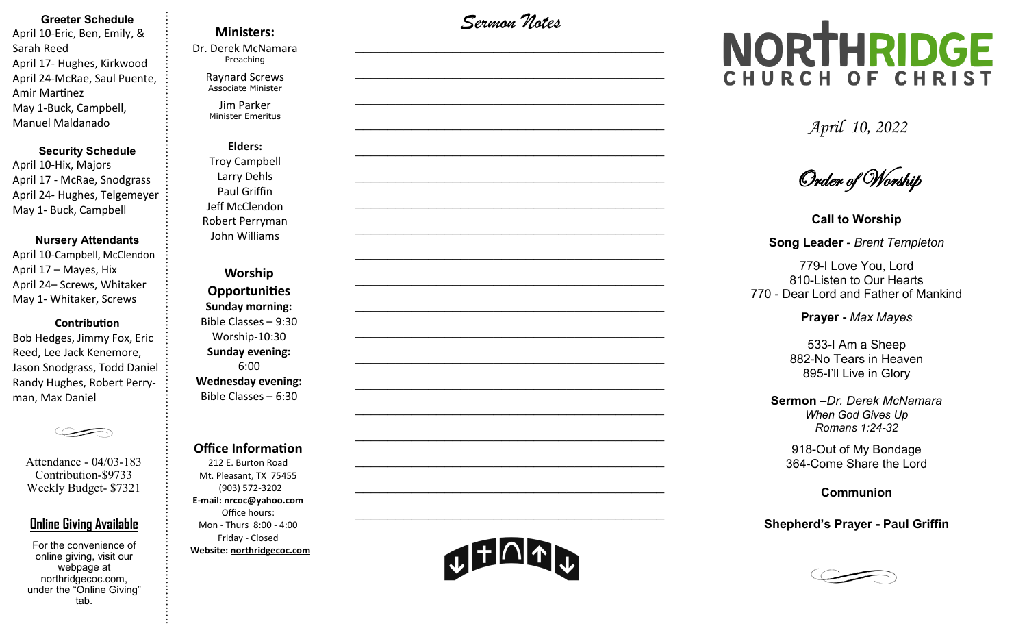### **Greeter Schedule**

April 10-Eric, Ben, Emily, & Sarah Reed April 17- Hughes, Kirkwood April 24-McRae, Saul Puente, Amir Martinez May 1-Buck, Campbell, Manuel Maldanado

#### **Security Schedule**

April 10-Hix, Majors April 17 - McRae, Snodgrass April 24- Hughes, Telgemeyer May 1- Buck, Campbell

### **Nursery Attendants**

April 10-Campbell, McClendon April 17 – Mayes, Hix April 24– Screws, Whitaker May 1- Whitaker, Screws

### **Contribution**

Bob Hedges, Jimmy Fox, Eric Reed, Lee Jack Kenemore, Jason Snodgrass, Todd Daniel Randy Hughes, Robert Perryman, Max Daniel

Attendance - 04/03-183 Contribution-\$9733 Weekly Budget- \$7321

### **Online Giving Available**

For the convenience of online giving, visit our webpage at northridgecoc.com, under the "Online Giving" tab.

# **Ministers:**

Dr. Derek McNamara Preaching 

> Raynard Screws Associate Minister

Jim Parker Minister Emeritus

# **Elders:** Troy Campbell

Larry Dehls Paul Griffin Jeff McClendon Robert Perryman John Williams

**Worship Opportunities Sunday morning:**  Bible Classes – 9:30 Worship-10:30 **Sunday evening:**  6:00 **Wednesday evening:** Bible Classes – 6:30

### **Office Information**

212 E. Burton Road Mt. Pleasant, TX 75455 (903) 572-3202 **E-mail: nrcoc@yahoo.com** Office hours: Mon - Thurs 8:00 - 4:00 Friday - Closed **Website: northridgecoc.com**

*Sermon Notes*

 $\mathcal{L}_\text{max}$ 

 $\mathcal{L}_\text{max}$  , and the set of the set of the set of the set of the set of the set of the set of the set of the set of the set of the set of the set of the set of the set of the set of the set of the set of the set of the

 $\mathcal{L}_\text{max}$  , and the set of the set of the set of the set of the set of the set of the set of the set of the set of the set of the set of the set of the set of the set of the set of the set of the set of the set of the

 $\mathcal{L}_\text{max}$  , and the set of the set of the set of the set of the set of the set of the set of the set of the set of the set of the set of the set of the set of the set of the set of the set of the set of the set of the

 $\mathcal{L}_\text{max}$ 

 $\mathcal{L}_\text{max}$ 

 $\mathcal{L}_\text{max}$  , and the set of the set of the set of the set of the set of the set of the set of the set of the set of the set of the set of the set of the set of the set of the set of the set of the set of the set of the

 $\mathcal{L}_\text{max}$  , and the set of the set of the set of the set of the set of the set of the set of the set of the set of the set of the set of the set of the set of the set of the set of the set of the set of the set of the

 $\mathcal{L}_\text{max}$  , and the set of the set of the set of the set of the set of the set of the set of the set of the set of the set of the set of the set of the set of the set of the set of the set of the set of the set of the

 $\mathcal{L}_\text{max}$ 

 $\mathcal{L}_\text{max}$ 

 $\mathcal{L}_\text{max}$  , and the set of the set of the set of the set of the set of the set of the set of the set of the set of the set of the set of the set of the set of the set of the set of the set of the set of the set of the

 $\mathcal{L}_\text{max}$  , and the set of the set of the set of the set of the set of the set of the set of the set of the set of the set of the set of the set of the set of the set of the set of the set of the set of the set of the

 $\mathcal{L}_\text{max}$  , and the set of the set of the set of the set of the set of the set of the set of the set of the set of the set of the set of the set of the set of the set of the set of the set of the set of the set of the

 $\mathcal{L}_\text{max}$ 

 $\mathcal{L}_\text{max}$ 

 $\mathcal{L}_\text{max}$  , and the set of the set of the set of the set of the set of the set of the set of the set of the set of the set of the set of the set of the set of the set of the set of the set of the set of the set of the

 $\mathcal{L}_\text{max}$  , and the set of the set of the set of the set of the set of the set of the set of the set of the set of the set of the set of the set of the set of the set of the set of the set of the set of the set of the

 $\mathcal{L}_\text{max}$  , and the set of the set of the set of the set of the set of the set of the set of the set of the set of the set of the set of the set of the set of the set of the set of the set of the set of the set of the

# NORTHRIDGE CHURCH OF CHRIST

*April 10, 2022*

Order of Worship

**Call to Worship Song Leader** *- Brent Templeton*

779-I Love You, Lord 810-Listen to Our Hearts 770 - Dear Lord and Father of Mankind

**Prayer -** *Max Mayes*

533-I Am a Sheep 882-No Tears in Heaven 895-I'll Live in Glory

**Sermon** –*Dr. Derek McNamara When God Gives Up Romans 1:24-32*

918-Out of My Bondage 364-Come Share the Lord

**Communion** 

### **Shepherd's Prayer - Paul Griffin**